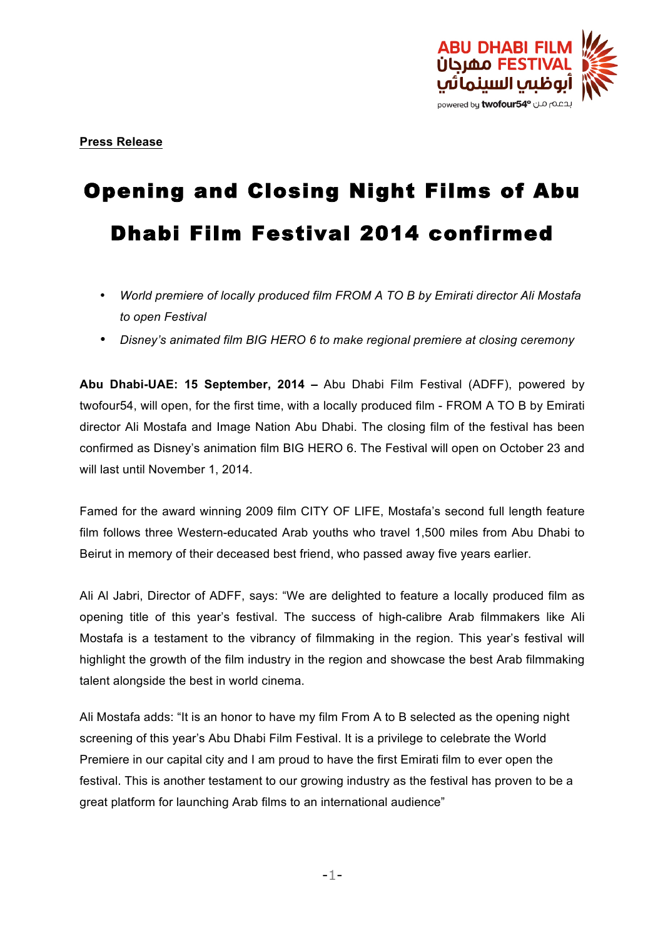

# Opening and Closing Night Films of Abu Dhabi Film Festival 2014 confirmed

- *World premiere of locally produced film FROM A TO B by Emirati director Ali Mostafa to open Festival*
- *Disney's animated film BIG HERO 6 to make regional premiere at closing ceremony*

**Abu Dhabi-UAE: 15 September, 2014 –** Abu Dhabi Film Festival (ADFF), powered by twofour54, will open, for the first time, with a locally produced film - FROM A TO B by Emirati director Ali Mostafa and Image Nation Abu Dhabi. The closing film of the festival has been confirmed as Disney's animation film BIG HERO 6. The Festival will open on October 23 and will last until November 1, 2014.

Famed for the award winning 2009 film CITY OF LIFE, Mostafa's second full length feature film follows three Western-educated Arab youths who travel 1,500 miles from Abu Dhabi to Beirut in memory of their deceased best friend, who passed away five years earlier.

Ali Al Jabri, Director of ADFF, says: "We are delighted to feature a locally produced film as opening title of this year's festival. The success of high-calibre Arab filmmakers like Ali Mostafa is a testament to the vibrancy of filmmaking in the region. This year's festival will highlight the growth of the film industry in the region and showcase the best Arab filmmaking talent alongside the best in world cinema.

Ali Mostafa adds: "It is an honor to have my film From A to B selected as the opening night screening of this year's Abu Dhabi Film Festival. It is a privilege to celebrate the World Premiere in our capital city and I am proud to have the first Emirati film to ever open the festival. This is another testament to our growing industry as the festival has proven to be a great platform for launching Arab films to an international audience"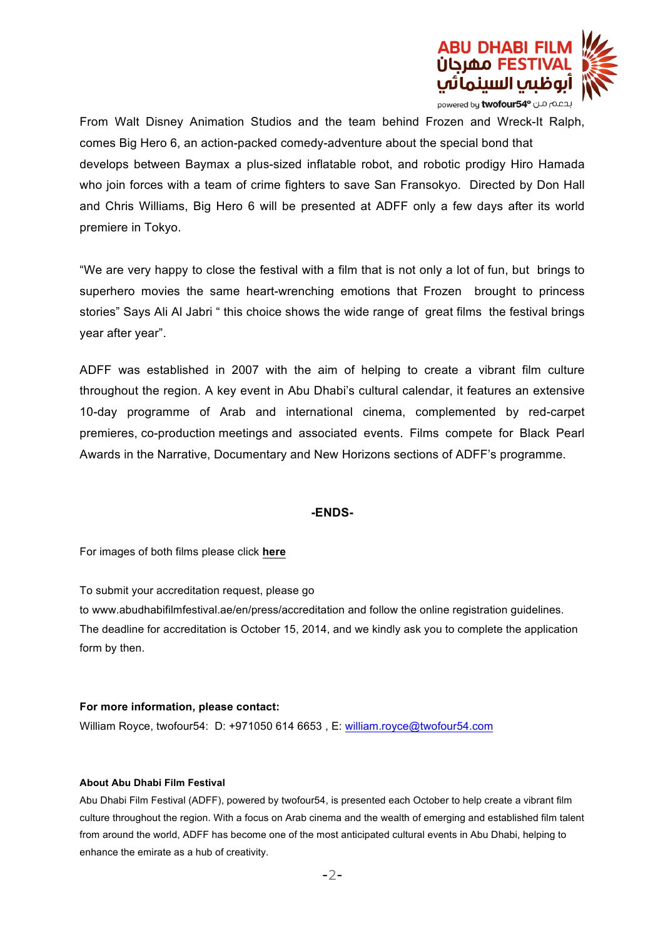

From Walt Disney Animation Studios and the team behind Frozen and Wreck-It Ralph, comes Big Hero 6, an action-packed comedy-adventure about the special bond that develops between Baymax a plus-sized inflatable robot, and robotic prodigy Hiro Hamada who join forces with a team of crime fighters to save San Fransokyo. Directed by Don Hall and Chris Williams, Big Hero 6 will be presented at ADFF only a few days after its world premiere in Tokyo.

"We are very happy to close the festival with a film that is not only a lot of fun, but brings to superhero movies the same heart-wrenching emotions that Frozen brought to princess stories" Says Ali Al Jabri " this choice shows the wide range of great films the festival brings year after year".

ADFF was established in 2007 with the aim of helping to create a vibrant film culture throughout the region. A key event in Abu Dhabi's cultural calendar, it features an extensive 10-day programme of Arab and international cinema, complemented by red-carpet premieres, co-production meetings and associated events. Films compete for Black Pearl Awards in the Narrative, Documentary and New Horizons sections of ADFF's programme.

## **-ENDS-**

For images of both films please click **here**

To submit your accreditation request, please go to www.abudhabifilmfestival.ae/en/press/accreditation and follow the online registration guidelines. The deadline for accreditation is October 15, 2014, and we kindly ask you to complete the application form by then.

## **For more information, please contact:**

William Royce, twofour54: D: +971050 614 6653, E: william.royce@twofour54.com

## **About Abu Dhabi Film Festival**

Abu Dhabi Film Festival (ADFF), powered by twofour54, is presented each October to help create a vibrant film culture throughout the region. With a focus on Arab cinema and the wealth of emerging and established film talent from around the world, ADFF has become one of the most anticipated cultural events in Abu Dhabi, helping to enhance the emirate as a hub of creativity.